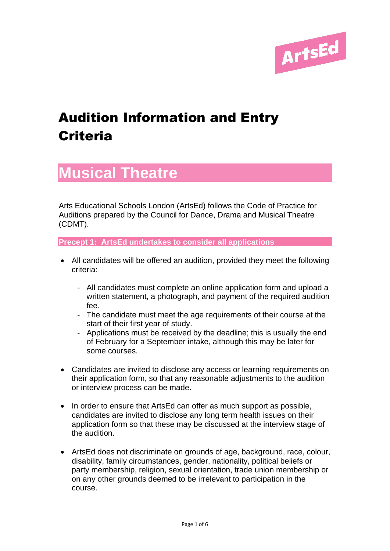

# Audition Information and Entry **Criteria**

# **Musical Theatre**

Arts Educational Schools London (ArtsEd) follows the Code of Practice for Auditions prepared by the Council for Dance, Drama and Musical Theatre (CDMT).

**Precept 1: ArtsEd undertakes to consider all applications**

- All candidates will be offered an audition, provided they meet the following criteria:
	- All candidates must complete an online application form and upload a written statement, a photograph, and payment of the required audition fee.
	- The candidate must meet the age requirements of their course at the start of their first year of study.
	- Applications must be received by the deadline; this is usually the end of February for a September intake, although this may be later for some courses.
- Candidates are invited to disclose any access or learning requirements on their application form, so that any reasonable adjustments to the audition or interview process can be made.
- In order to ensure that ArtsEd can offer as much support as possible, candidates are invited to disclose any long term health issues on their application form so that these may be discussed at the interview stage of the audition.
- ArtsEd does not discriminate on grounds of age, background, race, colour, disability, family circumstances, gender, nationality, political beliefs or party membership, religion, sexual orientation, trade union membership or on any other grounds deemed to be irrelevant to participation in the course.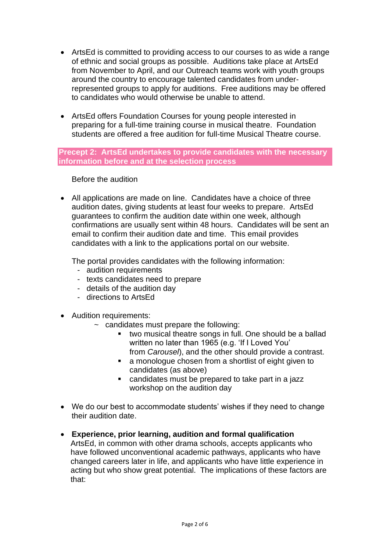- ArtsEd is committed to providing access to our courses to as wide a range of ethnic and social groups as possible. Auditions take place at ArtsEd from November to April, and our Outreach teams work with youth groups around the country to encourage talented candidates from underrepresented groups to apply for auditions. Free auditions may be offered to candidates who would otherwise be unable to attend.
- ArtsEd offers Foundation Courses for young people interested in preparing for a full-time training course in musical theatre. Foundation students are offered a free audition for full-time Musical Theatre course.

#### **Precept 2: ArtsEd undertakes to provide candidates with the necessary information before and at the selection process**

Before the audition

• All applications are made on line. Candidates have a choice of three audition dates, giving students at least four weeks to prepare. ArtsEd guarantees to confirm the audition date within one week, although confirmations are usually sent within 48 hours. Candidates will be sent an email to confirm their audition date and time. This email provides candidates with a link to the applications portal on our website.

The portal provides candidates with the following information:

- audition requirements
- texts candidates need to prepare
- details of the audition day
- directions to ArtsEd
- Audition requirements:
	- $\sim$  candidates must prepare the following:
		- two musical theatre songs in full. One should be a ballad written no later than 1965 (e.g. 'If I Loved You'
		- from *Carousel*), and the other should provide a contrast. ■ a monologue chosen from a shortlist of eight given to
		- candidates (as above)
		- candidates must be prepared to take part in a jazz workshop on the audition day
- We do our best to accommodate students' wishes if they need to change their audition date.
- **Experience, prior learning, audition and formal qualification** ArtsEd, in common with other drama schools, accepts applicants who have followed unconventional academic pathways, applicants who have changed careers later in life, and applicants who have little experience in acting but who show great potential. The implications of these factors are that: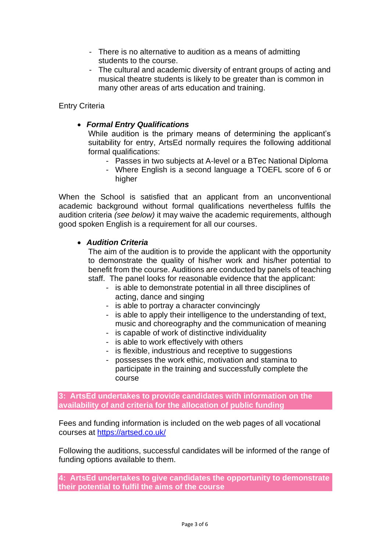- There is no alternative to audition as a means of admitting students to the course.
- The cultural and academic diversity of entrant groups of acting and musical theatre students is likely to be greater than is common in many other areas of arts education and training.

Entry Criteria

# • *Formal Entry Qualifications*

While audition is the primary means of determining the applicant's suitability for entry, ArtsEd normally requires the following additional formal qualifications:

- Passes in two subjects at A-level or a BTec National Diploma
- Where English is a second language a TOEFL score of 6 or higher

When the School is satisfied that an applicant from an unconventional academic background without formal qualifications nevertheless fulfils the audition criteria *(see below)* it may waive the academic requirements, although good spoken English is a requirement for all our courses.

# • *Audition Criteria*

The aim of the audition is to provide the applicant with the opportunity to demonstrate the quality of his/her work and his/her potential to benefit from the course. Auditions are conducted by panels of teaching staff. The panel looks for reasonable evidence that the applicant:

- is able to demonstrate potential in all three disciplines of acting, dance and singing
- is able to portray a character convincingly
- is able to apply their intelligence to the understanding of text, music and choreography and the communication of meaning
- is capable of work of distinctive individuality
- is able to work effectively with others
- is flexible, industrious and receptive to suggestions
- possesses the work ethic, motivation and stamina to participate in the training and successfully complete the course

**3: ArtsEd undertakes to provide candidates with information on the availability of and criteria for the allocation of public funding**

Fees and funding information is included on the web pages of all vocational courses at<https://artsed.co.uk/>

Following the auditions, successful candidates will be informed of the range of funding options available to them.

**4: ArtsEd undertakes to give candidates the opportunity to demonstrate their potential to fulfil the aims of the course**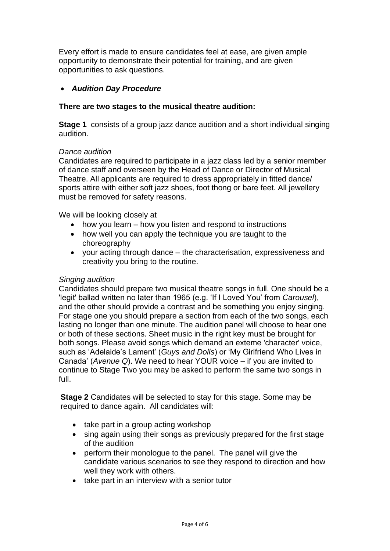Every effort is made to ensure candidates feel at ease, are given ample opportunity to demonstrate their potential for training, and are given opportunities to ask questions.

# • *Audition Day Procedure*

# **There are two stages to the musical theatre audition:**

**Stage 1** consists of a group jazz dance audition and a short individual singing audition.

#### *Dance audition*

Candidates are required to participate in a jazz class led by a senior member of dance staff and overseen by the Head of Dance or Director of Musical Theatre. All applicants are required to dress appropriately in fitted dance/ sports attire with either soft jazz shoes, foot thong or bare feet. All jewellery must be removed for safety reasons.

We will be looking closely at

- how you learn how you listen and respond to instructions
- how well you can apply the technique you are taught to the choreography
- your acting through dance the characterisation, expressiveness and creativity you bring to the routine.

#### *Singing audition*

Candidates should prepare two musical theatre songs in full. One should be a 'legit' ballad written no later than 1965 (e.g. 'If I Loved You' from *Carousel*), and the other should provide a contrast and be something you enjoy singing. For stage one you should prepare a section from each of the two songs, each lasting no longer than one minute. The audition panel will choose to hear one or both of these sections. Sheet music in the right key must be brought for both songs. Please avoid songs which demand an exteme 'character' voice, such as 'Adelaide's Lament' (*Guys and Dolls*) or 'My Girlfriend Who Lives in Canada' (*Avenue Q*). We need to hear YOUR voice – if you are invited to continue to Stage Two you may be asked to perform the same two songs in full.

**Stage 2** Candidates will be selected to stay for this stage. Some may be required to dance again. All candidates will:

- take part in a group acting workshop
- sing again using their songs as previously prepared for the first stage of the audition
- perform their monologue to the panel. The panel will give the candidate various scenarios to see they respond to direction and how well they work with others.
- take part in an interview with a senior tutor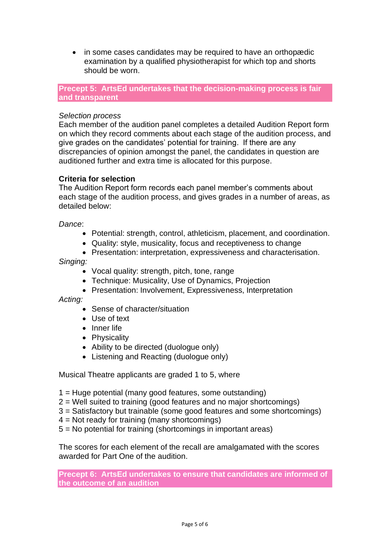• in some cases candidates may be required to have an orthopædic examination by a qualified physiotherapist for which top and shorts should be worn.

**Precept 5: ArtsEd undertakes that the decision-making process is fair and transparent**

### *Selection process*

Each member of the audition panel completes a detailed Audition Report form on which they record comments about each stage of the audition process, and give grades on the candidates' potential for training. If there are any discrepancies of opinion amongst the panel, the candidates in question are auditioned further and extra time is allocated for this purpose.

#### **Criteria for selection**

The Audition Report form records each panel member's comments about each stage of the audition process, and gives grades in a number of areas, as detailed below:

#### *Dance*:

- Potential: strength, control, athleticism, placement, and coordination.
- Quality: style, musicality, focus and receptiveness to change
- Presentation: interpretation, expressiveness and characterisation.

#### *Singing:*

- Vocal quality: strength, pitch, tone, range
- Technique: Musicality, Use of Dynamics, Projection
- Presentation: Involvement, Expressiveness, Interpretation

#### *Acting:*

- Sense of character/situation
- Use of text
- Inner life
- Physicality
- Ability to be directed (duologue only)
- Listening and Reacting (duologue only)

Musical Theatre applicants are graded 1 to 5, where

- 1 = Huge potential (many good features, some outstanding)
- 2 = Well suited to training (good features and no major shortcomings)
- 3 = Satisfactory but trainable (some good features and some shortcomings)
- $4 = Not ready for training (many shortcomings)$
- 5 = No potential for training (shortcomings in important areas)

The scores for each element of the recall are amalgamated with the scores awarded for Part One of the audition.

**Precept 6: ArtsEd undertakes to ensure that candidates are informed of the outcome of an audition**